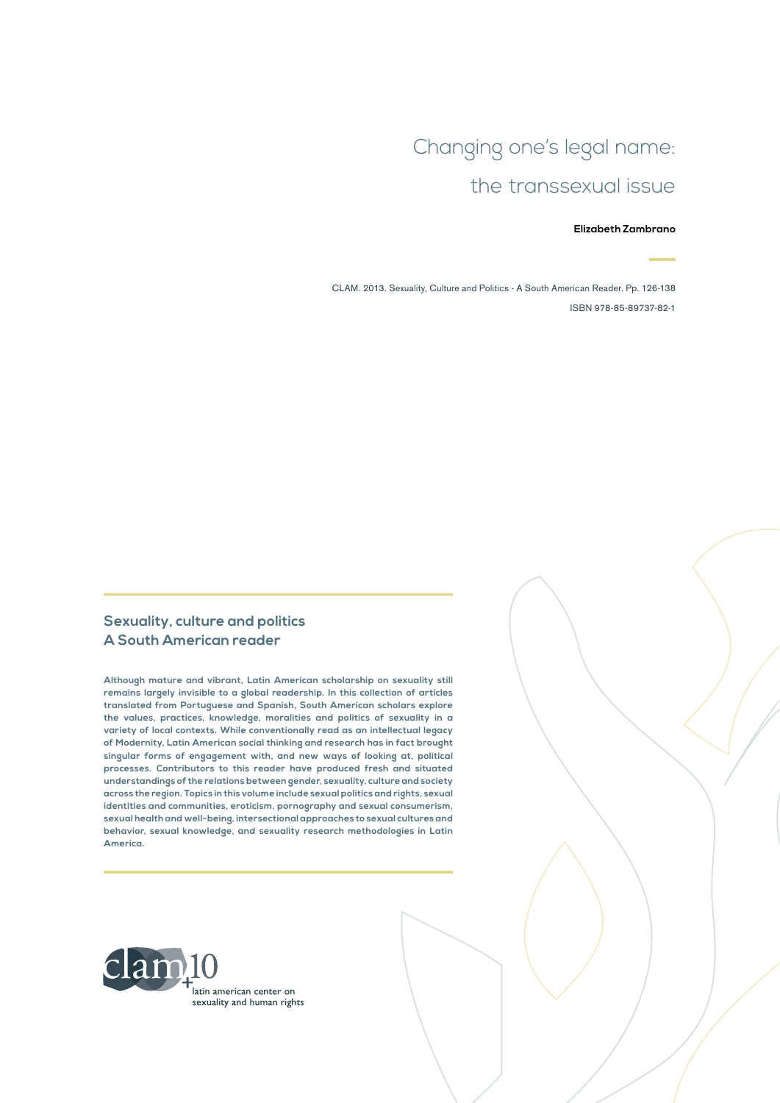# Changing one's legal name: the transsexual issue

#### **Elizabeth Zambrano**

CLAM. 2013. Sexuality, Culture and Politics - A South American Reader. Pp. 126-138 ISBN 978-85-89737-82-1

#### **Sexuality, culture and politics A South American reader**

**Although mature and vibrant, Latin American scholarship on sexuality still remains largely invisible to a global readership. In this collection of articles translated from Portuguese and Spanish, South American scholars explore the values, practices, knowledge, moralities and politics of sexuality in a variety of local contexts. While conventionally read as an intellectual legacy of Modernity, Latin American social thinking and research has in fact brought singular forms of engagement with, and new ways of looking at, political processes. Contributors to this reader have produced fresh and situated understandings of the relations between gender, sexuality, culture and society across the region. Topics in this volume include sexual politics and rights, sexual identities and communities, eroticism, pornography and sexual consumerism, sexual health and well-being, intersectional approaches to sexual cultures and behavior, sexual knowledge, and sexuality research methodologies in Latin America.**

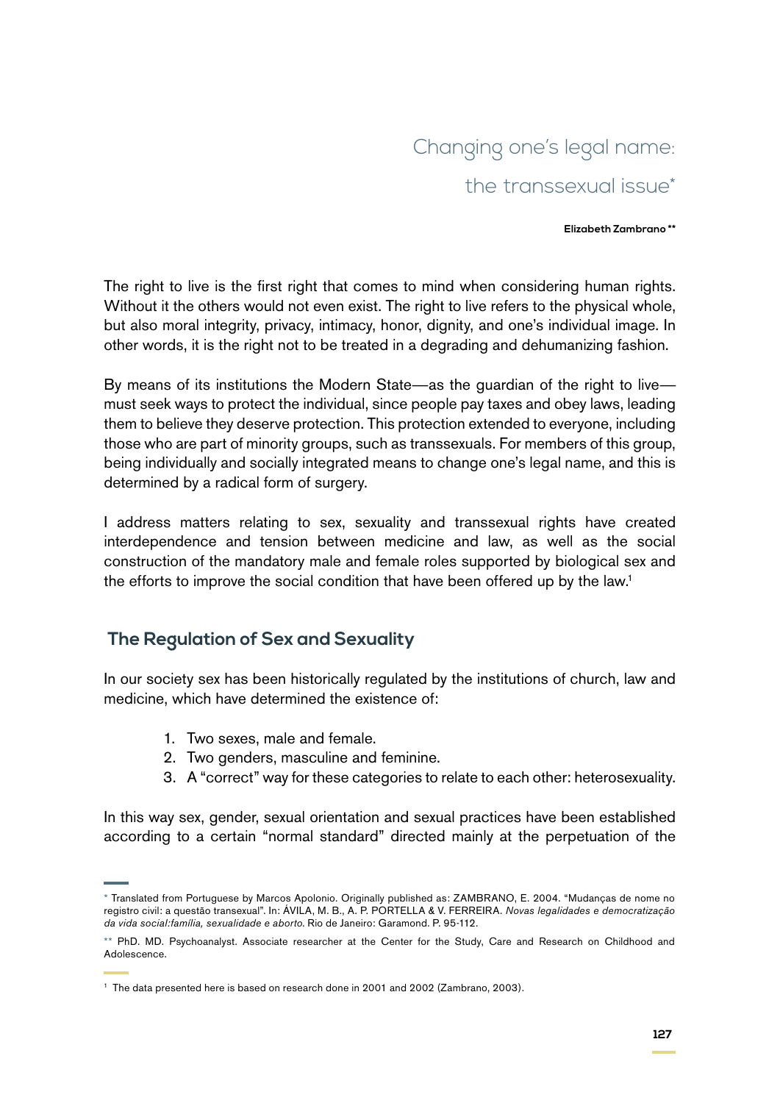# Changing one's legal name: the transsexual issue\*

#### **Elizabeth Zambrano \*\***

The right to live is the first right that comes to mind when considering human rights. Without it the others would not even exist. The right to live refers to the physical whole, but also moral integrity, privacy, intimacy, honor, dignity, and one's individual image. In other words, it is the right not to be treated in a degrading and dehumanizing fashion.

By means of its institutions the Modern State—as the guardian of the right to live must seek ways to protect the individual, since people pay taxes and obey laws, leading them to believe they deserve protection. This protection extended to everyone, including those who are part of minority groups, such as transsexuals. For members of this group, being individually and socially integrated means to change one's legal name, and this is determined by a radical form of surgery.

I address matters relating to sex, sexuality and transsexual rights have created interdependence and tension between medicine and law, as well as the social construction of the mandatory male and female roles supported by biological sex and the efforts to improve the social condition that have been offered up by the law.<sup>1</sup>

## **The Regulation of Sex and Sexuality**

In our society sex has been historically regulated by the institutions of church, law and medicine, which have determined the existence of:

- 1. Two sexes, male and female.
- 2. Two genders, masculine and feminine.
- 3. A "correct" way for these categories to relate to each other: heterosexuality.

In this way sex, gender, sexual orientation and sexual practices have been established according to a certain "normal standard" directed mainly at the perpetuation of the

<sup>\*</sup> Translated from Portuguese by Marcos Apolonio. Originally published as: ZAMBRANO, E. 2004. "Mudanças de nome no registro civil: a questão transexual". In: ÁVILA, M. B., A. P. PORTELLA & V. FERREIRA. *Novas legalidades e democratização da vida social:família, sexualidade e aborto*. Rio de Janeiro: Garamond. P. 95-112.

<sup>\*\*</sup> PhD. MD. Psychoanalyst. Associate researcher at the Center for the Study, Care and Research on Childhood and Adolescence.

<sup>&</sup>lt;sup>1</sup> The data presented here is based on research done in 2001 and 2002 (Zambrano, 2003).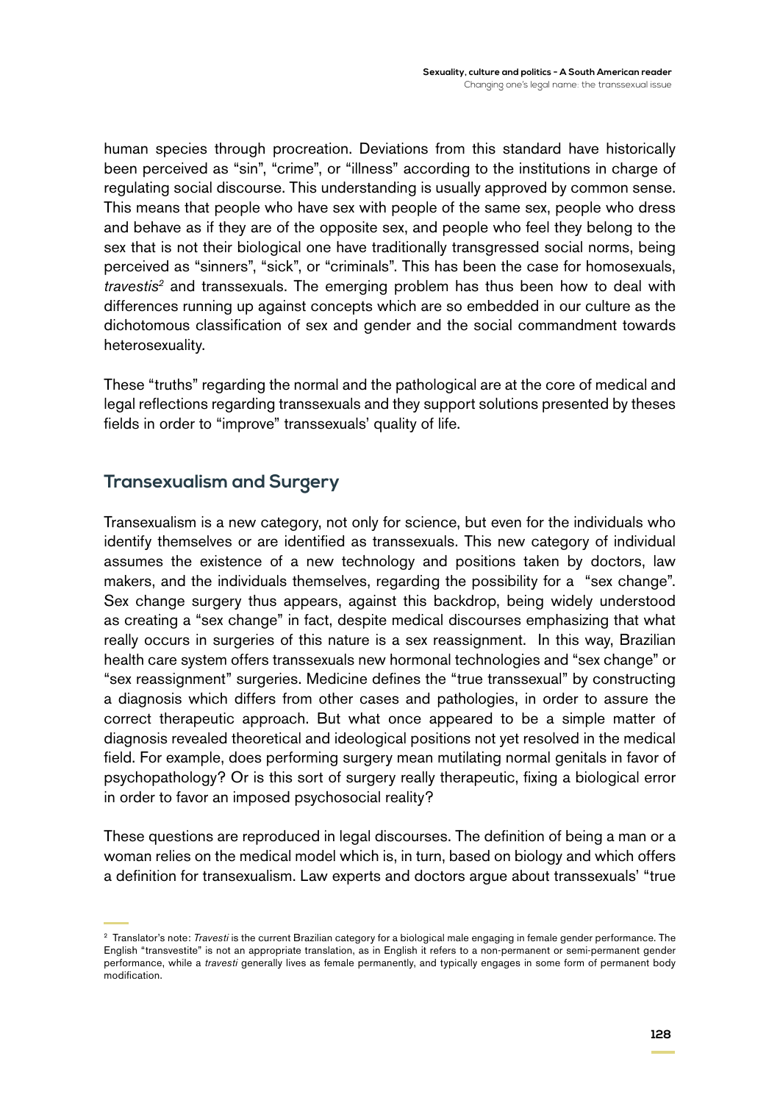human species through procreation. Deviations from this standard have historically been perceived as "sin", "crime", or "illness" according to the institutions in charge of regulating social discourse. This understanding is usually approved by common sense. This means that people who have sex with people of the same sex, people who dress and behave as if they are of the opposite sex, and people who feel they belong to the sex that is not their biological one have traditionally transgressed social norms, being perceived as "sinners", "sick", or "criminals". This has been the case for homosexuals, *travestis2* and transsexuals. The emerging problem has thus been how to deal with differences running up against concepts which are so embedded in our culture as the dichotomous classification of sex and gender and the social commandment towards heterosexuality.

These "truths" regarding the normal and the pathological are at the core of medical and legal reflections regarding transsexuals and they support solutions presented by theses fields in order to "improve" transsexuals' quality of life.

#### **Transexualism and Surgery**

Transexualism is a new category, not only for science, but even for the individuals who identify themselves or are identified as transsexuals. This new category of individual assumes the existence of a new technology and positions taken by doctors, law makers, and the individuals themselves, regarding the possibility for a "sex change". Sex change surgery thus appears, against this backdrop, being widely understood as creating a "sex change" in fact, despite medical discourses emphasizing that what really occurs in surgeries of this nature is a sex reassignment. In this way, Brazilian health care system offers transsexuals new hormonal technologies and "sex change" or "sex reassignment" surgeries. Medicine defines the "true transsexual" by constructing a diagnosis which differs from other cases and pathologies, in order to assure the correct therapeutic approach. But what once appeared to be a simple matter of diagnosis revealed theoretical and ideological positions not yet resolved in the medical field. For example, does performing surgery mean mutilating normal genitals in favor of psychopathology? Or is this sort of surgery really therapeutic, fixing a biological error in order to favor an imposed psychosocial reality?

These questions are reproduced in legal discourses. The definition of being a man or a woman relies on the medical model which is, in turn, based on biology and which offers a definition for transexualism. Law experts and doctors argue about transsexuals' "true

<sup>2</sup> Translator's note: *Travesti* is the current Brazilian category for a biological male engaging in female gender performance. The English "transvestite" is not an appropriate translation, as in English it refers to a non-permanent or semi-permanent gender performance, while a *travesti* generally lives as female permanently, and typically engages in some form of permanent body modification.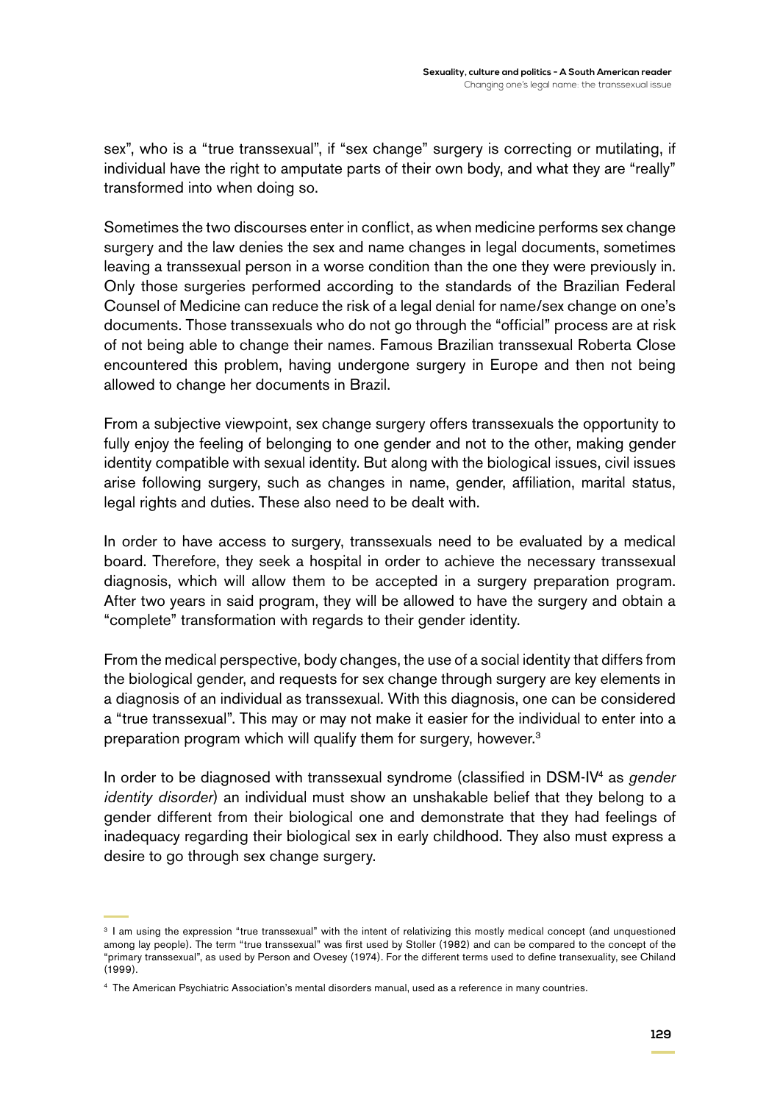sex", who is a "true transsexual", if "sex change" surgery is correcting or mutilating, if individual have the right to amputate parts of their own body, and what they are "really" transformed into when doing so.

Sometimes the two discourses enter in conflict, as when medicine performs sex change surgery and the law denies the sex and name changes in legal documents, sometimes leaving a transsexual person in a worse condition than the one they were previously in. Only those surgeries performed according to the standards of the Brazilian Federal Counsel of Medicine can reduce the risk of a legal denial for name/sex change on one's documents. Those transsexuals who do not go through the "official" process are at risk of not being able to change their names. Famous Brazilian transsexual Roberta Close encountered this problem, having undergone surgery in Europe and then not being allowed to change her documents in Brazil.

From a subjective viewpoint, sex change surgery offers transsexuals the opportunity to fully enjoy the feeling of belonging to one gender and not to the other, making gender identity compatible with sexual identity. But along with the biological issues, civil issues arise following surgery, such as changes in name, gender, affiliation, marital status, legal rights and duties. These also need to be dealt with.

In order to have access to surgery, transsexuals need to be evaluated by a medical board. Therefore, they seek a hospital in order to achieve the necessary transsexual diagnosis, which will allow them to be accepted in a surgery preparation program. After two years in said program, they will be allowed to have the surgery and obtain a "complete" transformation with regards to their gender identity.

From the medical perspective, body changes, the use of a social identity that differs from the biological gender, and requests for sex change through surgery are key elements in a diagnosis of an individual as transsexual. With this diagnosis, one can be considered a "true transsexual". This may or may not make it easier for the individual to enter into a preparation program which will qualify them for surgery, however.<sup>3</sup>

In order to be diagnosed with transsexual syndrome (classified in DSM-IV4 as *gender identity disorder*) an individual must show an unshakable belief that they belong to a gender different from their biological one and demonstrate that they had feelings of inadequacy regarding their biological sex in early childhood. They also must express a desire to go through sex change surgery.

<sup>&</sup>lt;sup>3</sup> I am using the expression "true transsexual" with the intent of relativizing this mostly medical concept (and unquestioned among lay people). The term "true transsexual" was first used by Stoller (1982) and can be compared to the concept of the "primary transsexual", as used by Person and Ovesey (1974). For the different terms used to define transexuality, see Chiland (1999).

<sup>4</sup> The American Psychiatric Association's mental disorders manual, used as a reference in many countries.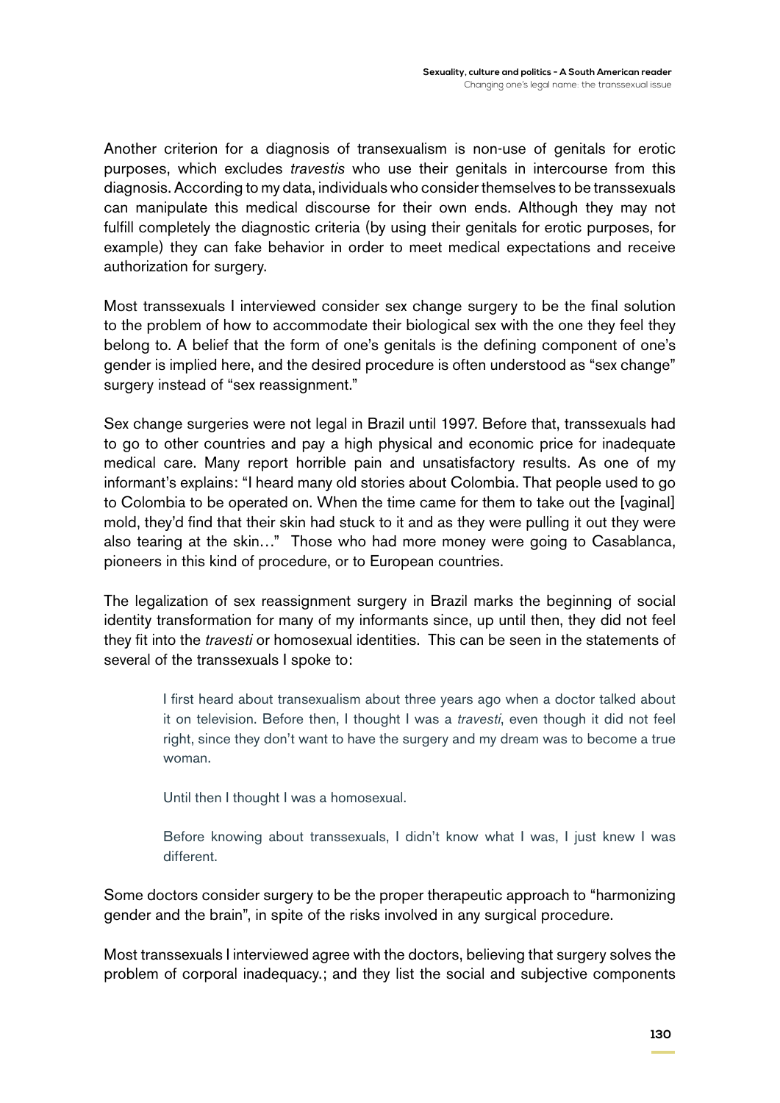Another criterion for a diagnosis of transexualism is non-use of genitals for erotic purposes, which excludes *travestis* who use their genitals in intercourse from this diagnosis. According to my data, individuals who consider themselves to be transsexuals can manipulate this medical discourse for their own ends. Although they may not fulfill completely the diagnostic criteria (by using their genitals for erotic purposes, for example) they can fake behavior in order to meet medical expectations and receive authorization for surgery.

Most transsexuals I interviewed consider sex change surgery to be the final solution to the problem of how to accommodate their biological sex with the one they feel they belong to. A belief that the form of one's genitals is the defining component of one's gender is implied here, and the desired procedure is often understood as "sex change" surgery instead of "sex reassignment."

Sex change surgeries were not legal in Brazil until 1997. Before that, transsexuals had to go to other countries and pay a high physical and economic price for inadequate medical care. Many report horrible pain and unsatisfactory results. As one of my informant's explains: "I heard many old stories about Colombia. That people used to go to Colombia to be operated on. When the time came for them to take out the [vaginal] mold, they'd find that their skin had stuck to it and as they were pulling it out they were also tearing at the skin…" Those who had more money were going to Casablanca, pioneers in this kind of procedure, or to European countries.

The legalization of sex reassignment surgery in Brazil marks the beginning of social identity transformation for many of my informants since, up until then, they did not feel they fit into the *travesti* or homosexual identities. This can be seen in the statements of several of the transsexuals I spoke to:

I first heard about transexualism about three years ago when a doctor talked about it on television. Before then, I thought I was a *travesti*, even though it did not feel right, since they don't want to have the surgery and my dream was to become a true woman.

Until then I thought I was a homosexual.

Before knowing about transsexuals, I didn't know what I was, I just knew I was different.

Some doctors consider surgery to be the proper therapeutic approach to "harmonizing gender and the brain", in spite of the risks involved in any surgical procedure.

Most transsexuals I interviewed agree with the doctors, believing that surgery solves the problem of corporal inadequacy.; and they list the social and subjective components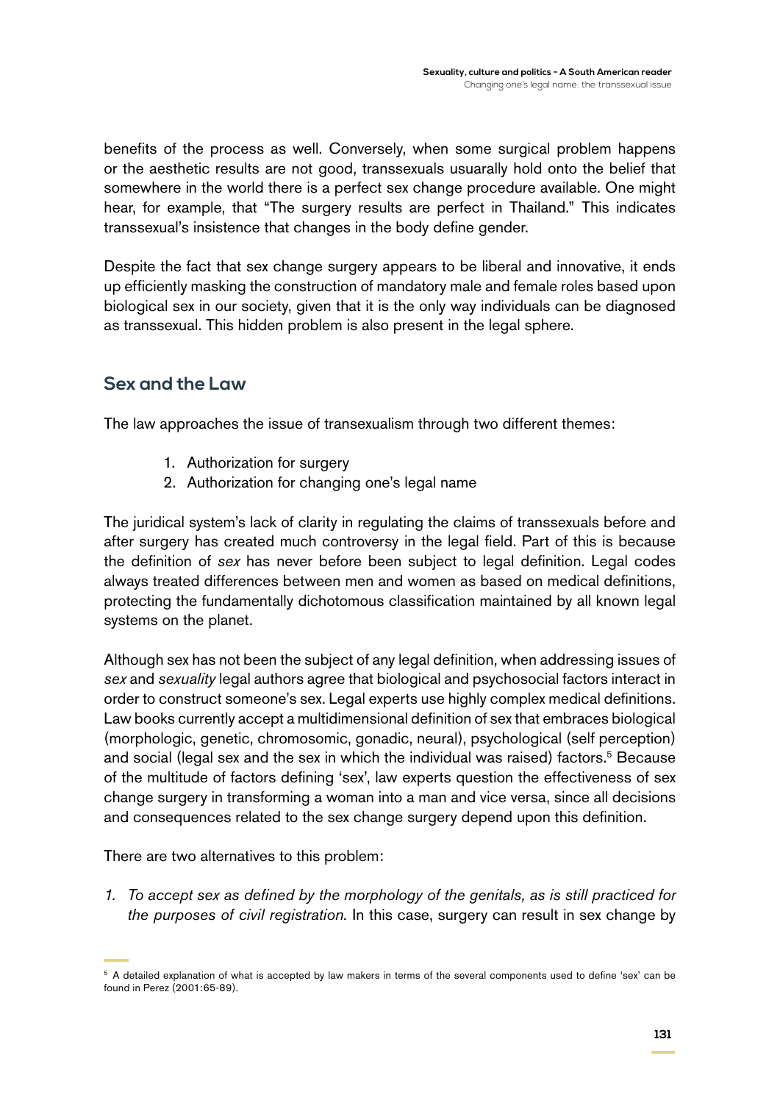benefits of the process as well. Conversely, when some surgical problem happens or the aesthetic results are not good, transsexuals usuarally hold onto the belief that somewhere in the world there is a perfect sex change procedure available. One might hear, for example, that "The surgery results are perfect in Thailand." This indicates transsexual's insistence that changes in the body define gender.

Despite the fact that sex change surgery appears to be liberal and innovative, it ends up efficiently masking the construction of mandatory male and female roles based upon biological sex in our society, given that it is the only way individuals can be diagnosed as transsexual. This hidden problem is also present in the legal sphere.

#### **Sex and the Law**

The law approaches the issue of transexualism through two different themes:

- 1. Authorization for surgery
- 2. Authorization for changing one's legal name

The juridical system's lack of clarity in regulating the claims of transsexuals before and after surgery has created much controversy in the legal field. Part of this is because the definition of *sex* has never before been subject to legal definition. Legal codes always treated differences between men and women as based on medical definitions, protecting the fundamentally dichotomous classification maintained by all known legal systems on the planet.

Although sex has not been the subject of any legal definition, when addressing issues of *sex* and *sexuality* legal authors agree that biological and psychosocial factors interact in order to construct someone's sex. Legal experts use highly complex medical definitions. Law books currently accept a multidimensional definition of sex that embraces biological (morphologic, genetic, chromosomic, gonadic, neural), psychological (self perception) and social (legal sex and the sex in which the individual was raised) factors.<sup>5</sup> Because of the multitude of factors defining 'sex', law experts question the effectiveness of sex change surgery in transforming a woman into a man and vice versa, since all decisions and consequences related to the sex change surgery depend upon this definition.

There are two alternatives to this problem:

*1. To accept sex as defined by the morphology of the genitals, as is still practiced for the purposes of civil registration.* In this case, surgery can result in sex change by

<sup>&</sup>lt;sup>5</sup> A detailed explanation of what is accepted by law makers in terms of the several components used to define 'sex' can be found in Perez (2001:65-89).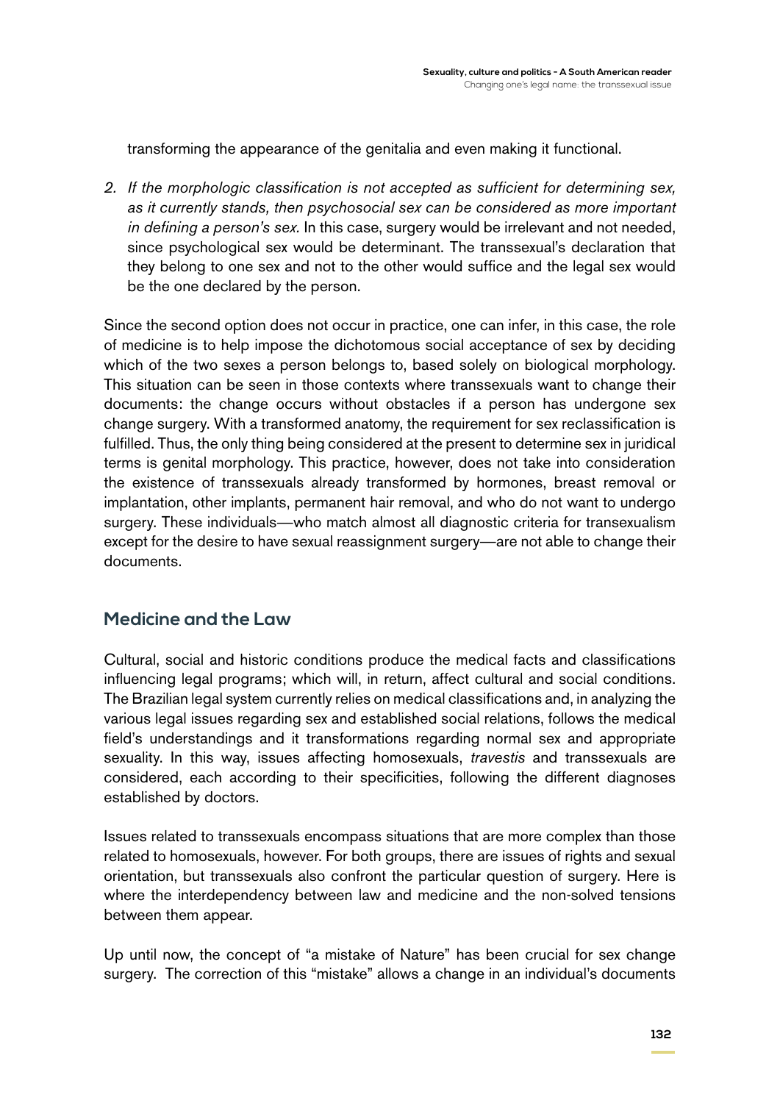transforming the appearance of the genitalia and even making it functional.

*2. If the morphologic classification is not accepted as sufficient for determining sex, as it currently stands, then psychosocial sex can be considered as more important in defining a person's sex.* In this case, surgery would be irrelevant and not needed, since psychological sex would be determinant. The transsexual's declaration that they belong to one sex and not to the other would suffice and the legal sex would be the one declared by the person.

Since the second option does not occur in practice, one can infer, in this case, the role of medicine is to help impose the dichotomous social acceptance of sex by deciding which of the two sexes a person belongs to, based solely on biological morphology. This situation can be seen in those contexts where transsexuals want to change their documents: the change occurs without obstacles if a person has undergone sex change surgery. With a transformed anatomy, the requirement for sex reclassification is fulfilled. Thus, the only thing being considered at the present to determine sex in juridical terms is genital morphology. This practice, however, does not take into consideration the existence of transsexuals already transformed by hormones, breast removal or implantation, other implants, permanent hair removal, and who do not want to undergo surgery. These individuals—who match almost all diagnostic criteria for transexualism except for the desire to have sexual reassignment surgery—are not able to change their documents.

#### **Medicine and the Law**

Cultural, social and historic conditions produce the medical facts and classifications influencing legal programs; which will, in return, affect cultural and social conditions. The Brazilian legal system currently relies on medical classifications and, in analyzing the various legal issues regarding sex and established social relations, follows the medical field's understandings and it transformations regarding normal sex and appropriate sexuality. In this way, issues affecting homosexuals, *travestis* and transsexuals are considered, each according to their specificities, following the different diagnoses established by doctors.

Issues related to transsexuals encompass situations that are more complex than those related to homosexuals, however. For both groups, there are issues of rights and sexual orientation, but transsexuals also confront the particular question of surgery. Here is where the interdependency between law and medicine and the non-solved tensions between them appear.

Up until now, the concept of "a mistake of Nature" has been crucial for sex change surgery. The correction of this "mistake" allows a change in an individual's documents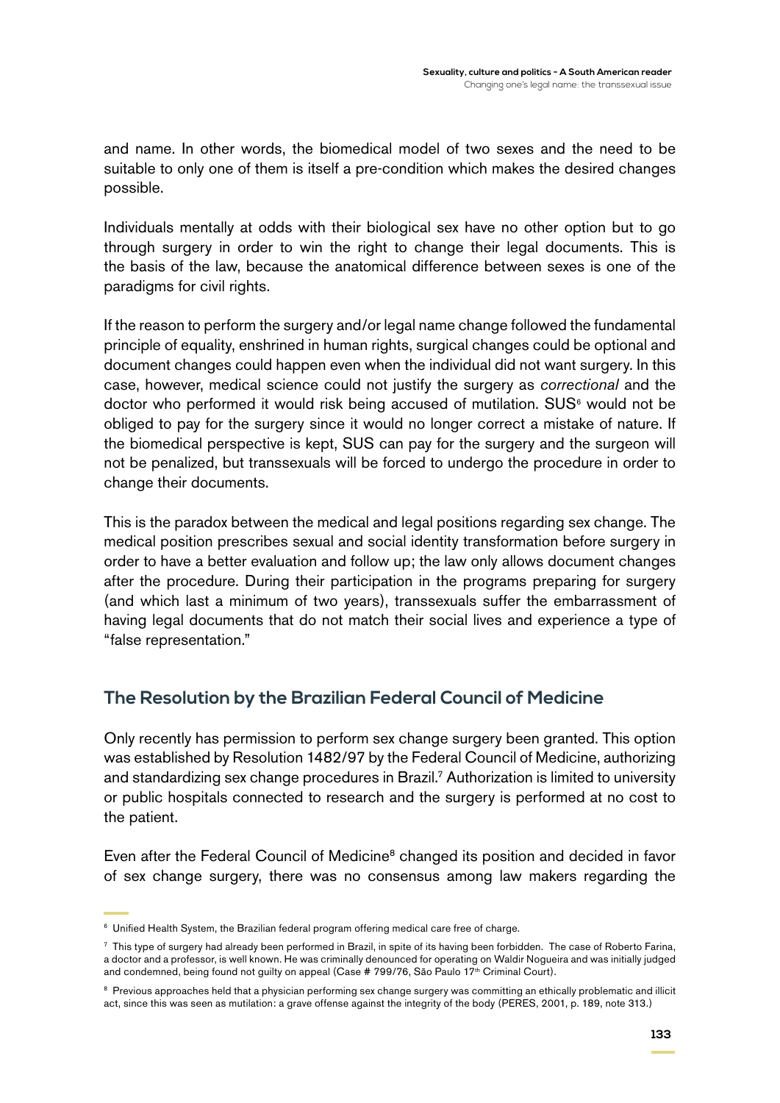and name. In other words, the biomedical model of two sexes and the need to be suitable to only one of them is itself a pre-condition which makes the desired changes possible.

Individuals mentally at odds with their biological sex have no other option but to go through surgery in order to win the right to change their legal documents. This is the basis of the law, because the anatomical difference between sexes is one of the paradigms for civil rights.

If the reason to perform the surgery and/or legal name change followed the fundamental principle of equality, enshrined in human rights, surgical changes could be optional and document changes could happen even when the individual did not want surgery. In this case, however, medical science could not justify the surgery as *correctional* and the doctor who performed it would risk being accused of mutilation.  $SUS^6$  would not be obliged to pay for the surgery since it would no longer correct a mistake of nature. If the biomedical perspective is kept, SUS can pay for the surgery and the surgeon will not be penalized, but transsexuals will be forced to undergo the procedure in order to change their documents.

This is the paradox between the medical and legal positions regarding sex change. The medical position prescribes sexual and social identity transformation before surgery in order to have a better evaluation and follow up; the law only allows document changes after the procedure. During their participation in the programs preparing for surgery (and which last a minimum of two years), transsexuals suffer the embarrassment of having legal documents that do not match their social lives and experience a type of "false representation."

## **The Resolution by the Brazilian Federal Council of Medicine**

Only recently has permission to perform sex change surgery been granted. This option was established by Resolution 1482/97 by the Federal Council of Medicine, authorizing and standardizing sex change procedures in Brazil.7 Authorization is limited to university or public hospitals connected to research and the surgery is performed at no cost to the patient.

Even after the Federal Council of Medicine<sup>8</sup> changed its position and decided in favor of sex change surgery, there was no consensus among law makers regarding the

<sup>&</sup>lt;sup>6</sup> Unified Health System, the Brazilian federal program offering medical care free of charge.

<sup>7</sup> This type of surgery had already been performed in Brazil, in spite of its having been forbidden. The case of Roberto Farina, a doctor and a professor, is well known. He was criminally denounced for operating on Waldir Nogueira and was initially judged and condemned, being found not guilty on appeal (Case # 799/76, São Paulo 17<sup>th</sup> Criminal Court).

<sup>&</sup>lt;sup>8</sup> Previous approaches held that a physician performing sex change surgery was committing an ethically problematic and illicit act, since this was seen as mutilation: a grave offense against the integrity of the body (PERES, 2001, p. 189, note 313.)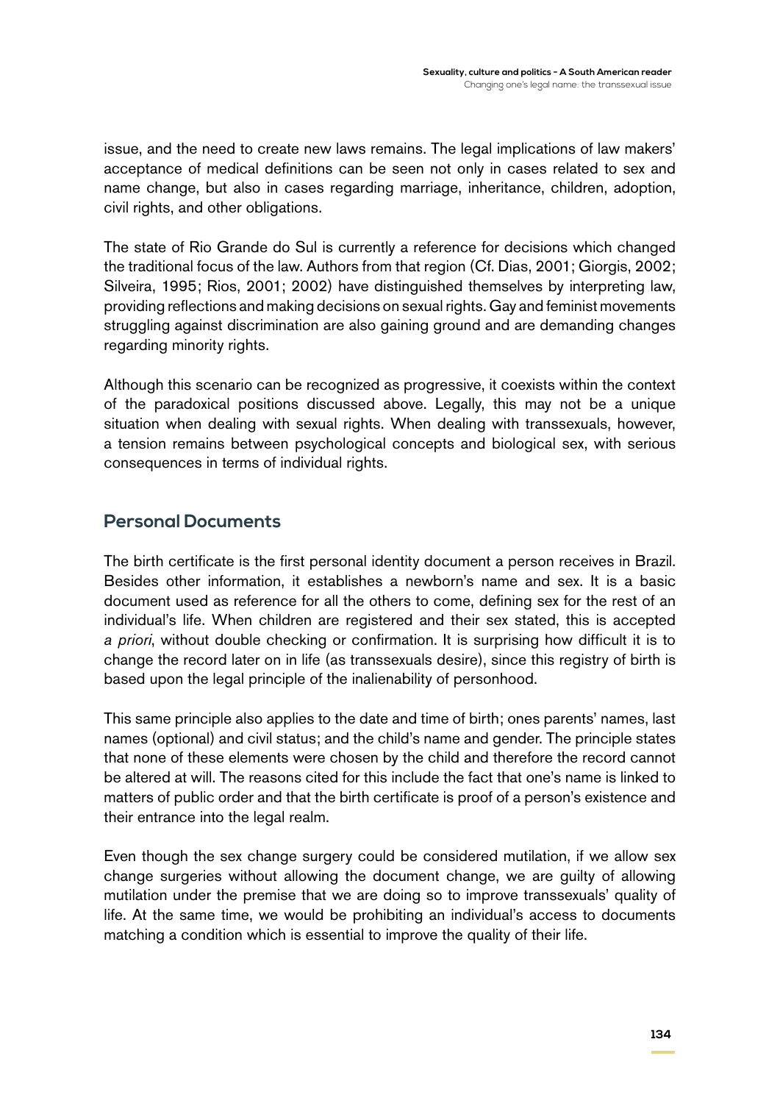issue, and the need to create new laws remains. The legal implications of law makers' acceptance of medical definitions can be seen not only in cases related to sex and name change, but also in cases regarding marriage, inheritance, children, adoption, civil rights, and other obligations.

The state of Rio Grande do Sul is currently a reference for decisions which changed the traditional focus of the law. Authors from that region (Cf. Dias, 2001; Giorgis, 2002; Silveira, 1995; Rios, 2001; 2002) have distinguished themselves by interpreting law, providing reflections and making decisions on sexual rights. Gay and feminist movements struggling against discrimination are also gaining ground and are demanding changes regarding minority rights.

Although this scenario can be recognized as progressive, it coexists within the context of the paradoxical positions discussed above. Legally, this may not be a unique situation when dealing with sexual rights. When dealing with transsexuals, however, a tension remains between psychological concepts and biological sex, with serious consequences in terms of individual rights.

## **Personal Documents**

The birth certificate is the first personal identity document a person receives in Brazil. Besides other information, it establishes a newborn's name and sex. It is a basic document used as reference for all the others to come, defining sex for the rest of an individual's life. When children are registered and their sex stated, this is accepted *a priori*, without double checking or confirmation. It is surprising how difficult it is to change the record later on in life (as transsexuals desire), since this registry of birth is based upon the legal principle of the inalienability of personhood.

This same principle also applies to the date and time of birth; ones parents' names, last names (optional) and civil status; and the child's name and gender. The principle states that none of these elements were chosen by the child and therefore the record cannot be altered at will. The reasons cited for this include the fact that one's name is linked to matters of public order and that the birth certificate is proof of a person's existence and their entrance into the legal realm.

Even though the sex change surgery could be considered mutilation, if we allow sex change surgeries without allowing the document change, we are guilty of allowing mutilation under the premise that we are doing so to improve transsexuals' quality of life. At the same time, we would be prohibiting an individual's access to documents matching a condition which is essential to improve the quality of their life.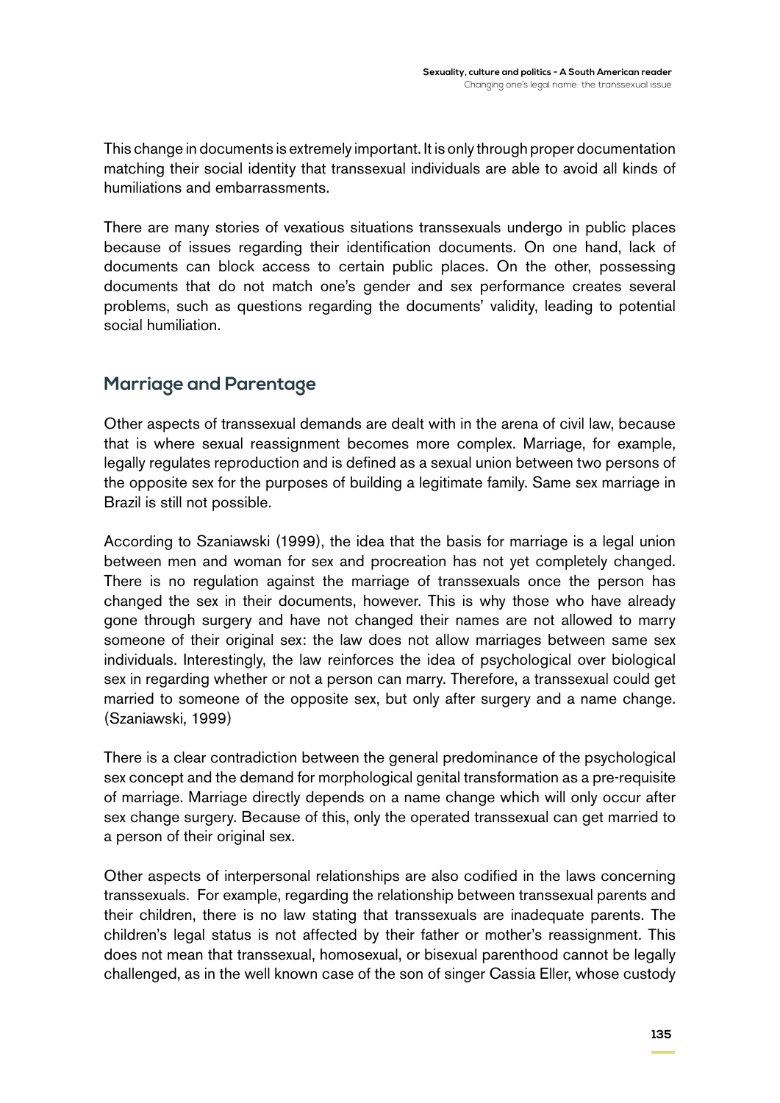This change in documents is extremely important. It is only through proper documentation matching their social identity that transsexual individuals are able to avoid all kinds of humiliations and embarrassments.

There are many stories of vexatious situations transsexuals undergo in public places because of issues regarding their identification documents. On one hand, lack of documents can block access to certain public places. On the other, possessing documents that do not match one's gender and sex performance creates several problems, such as questions regarding the documents' validity, leading to potential social humiliation.

## **Marriage and Parentage**

Other aspects of transsexual demands are dealt with in the arena of civil law, because that is where sexual reassignment becomes more complex. Marriage, for example, legally regulates reproduction and is defined as a sexual union between two persons of the opposite sex for the purposes of building a legitimate family. Same sex marriage in Brazil is still not possible.

According to Szaniawski (1999), the idea that the basis for marriage is a legal union between men and woman for sex and procreation has not yet completely changed. There is no regulation against the marriage of transsexuals once the person has changed the sex in their documents, however. This is why those who have already gone through surgery and have not changed their names are not allowed to marry someone of their original sex: the law does not allow marriages between same sex individuals. Interestingly, the law reinforces the idea of psychological over biological sex in regarding whether or not a person can marry. Therefore, a transsexual could get married to someone of the opposite sex, but only after surgery and a name change. (Szaniawski, 1999)

There is a clear contradiction between the general predominance of the psychological sex concept and the demand for morphological genital transformation as a pre-requisite of marriage. Marriage directly depends on a name change which will only occur after sex change surgery. Because of this, only the operated transsexual can get married to a person of their original sex.

Other aspects of interpersonal relationships are also codified in the laws concerning transsexuals. For example, regarding the relationship between transsexual parents and their children, there is no law stating that transsexuals are inadequate parents. The children's legal status is not affected by their father or mother's reassignment. This does not mean that transsexual, homosexual, or bisexual parenthood cannot be legally challenged, as in the well known case of the son of singer Cassia Eller, whose custody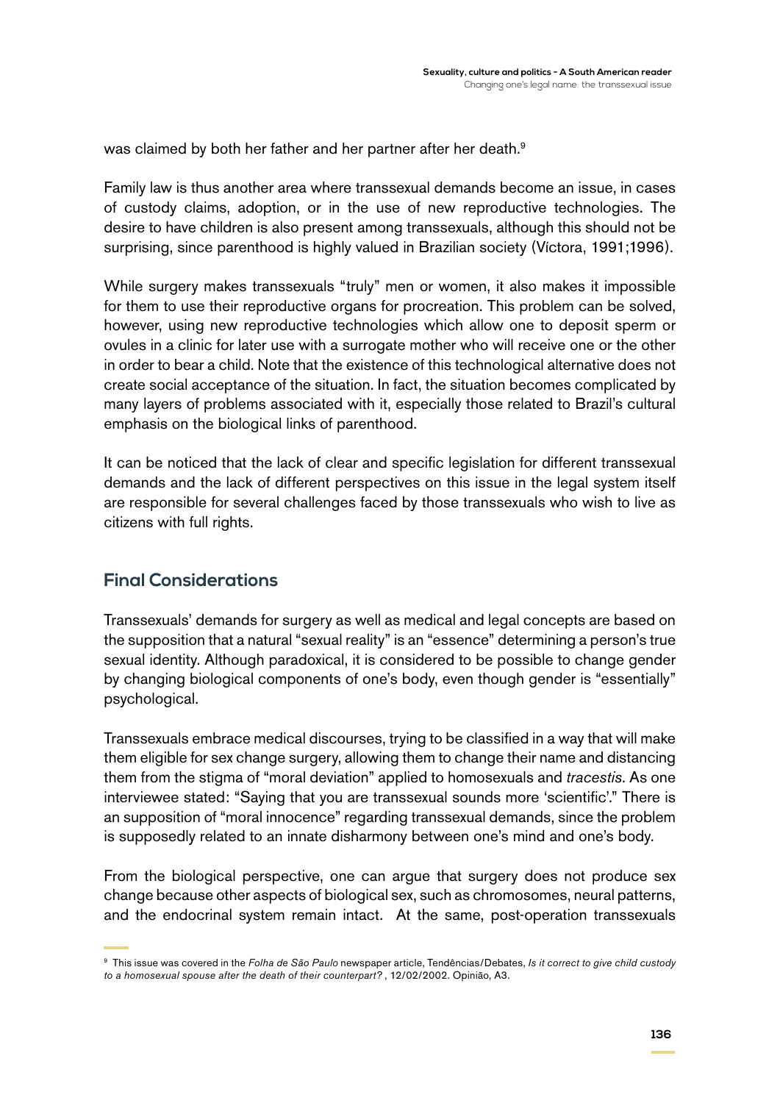was claimed by both her father and her partner after her death.<sup>9</sup>

Family law is thus another area where transsexual demands become an issue, in cases of custody claims, adoption, or in the use of new reproductive technologies. The desire to have children is also present among transsexuals, although this should not be surprising, since parenthood is highly valued in Brazilian society (Víctora, 1991;1996).

While surgery makes transsexuals "truly" men or women, it also makes it impossible for them to use their reproductive organs for procreation. This problem can be solved, however, using new reproductive technologies which allow one to deposit sperm or ovules in a clinic for later use with a surrogate mother who will receive one or the other in order to bear a child. Note that the existence of this technological alternative does not create social acceptance of the situation. In fact, the situation becomes complicated by many layers of problems associated with it, especially those related to Brazil's cultural emphasis on the biological links of parenthood.

It can be noticed that the lack of clear and specific legislation for different transsexual demands and the lack of different perspectives on this issue in the legal system itself are responsible for several challenges faced by those transsexuals who wish to live as citizens with full rights.

#### **Final Considerations**

Transsexuals' demands for surgery as well as medical and legal concepts are based on the supposition that a natural "sexual reality" is an "essence" determining a person's true sexual identity. Although paradoxical, it is considered to be possible to change gender by changing biological components of one's body, even though gender is "essentially" psychological.

Transsexuals embrace medical discourses, trying to be classified in a way that will make them eligible for sex change surgery, allowing them to change their name and distancing them from the stigma of "moral deviation" applied to homosexuals and *tracestis*. As one interviewee stated: "Saying that you are transsexual sounds more 'scientific'." There is an supposition of "moral innocence" regarding transsexual demands, since the problem is supposedly related to an innate disharmony between one's mind and one's body.

From the biological perspective, one can argue that surgery does not produce sex change because other aspects of biological sex, such as chromosomes, neural patterns, and the endocrinal system remain intact. At the same, post-operation transsexuals

<sup>9</sup> This issue was covered in the *Folha de São Paulo* newspaper article, Tendências/Debates, *Is it correct to give child custody to a homosexual spouse after the death of their counterpart?* , 12/02/2002. Opinião, A3.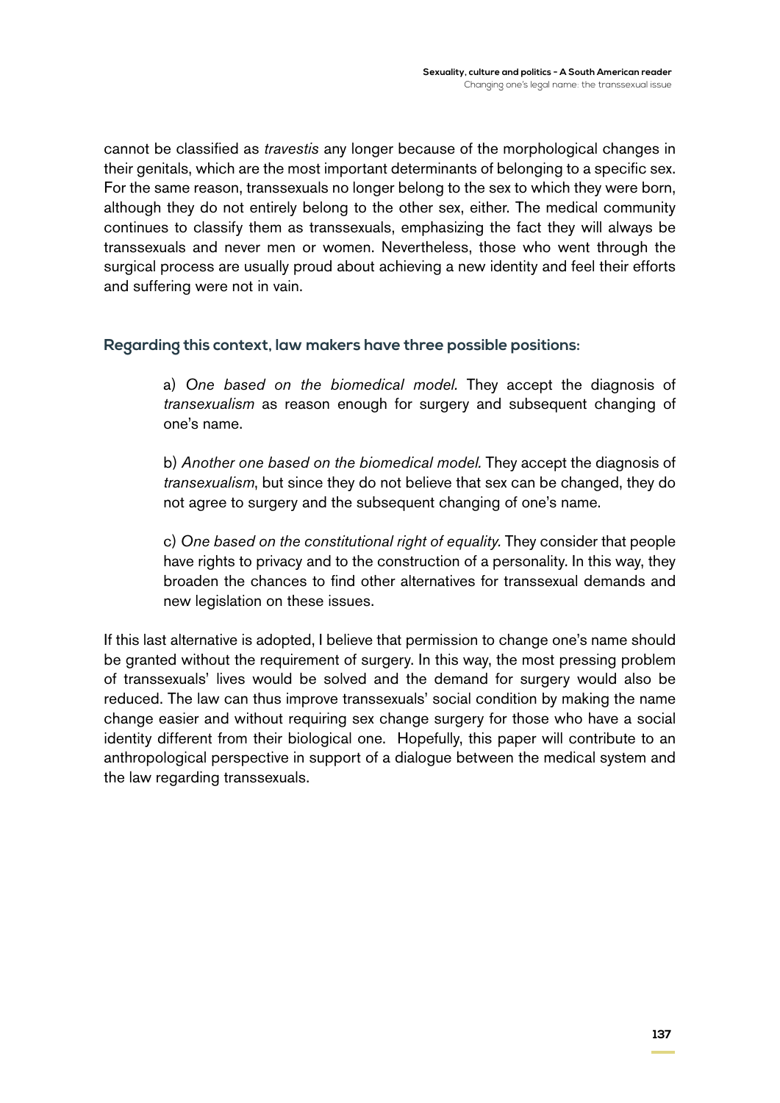cannot be classified as *travestis* any longer because of the morphological changes in their genitals, which are the most important determinants of belonging to a specific sex. For the same reason, transsexuals no longer belong to the sex to which they were born, although they do not entirely belong to the other sex, either. The medical community continues to classify them as transsexuals, emphasizing the fact they will always be transsexuals and never men or women. Nevertheless, those who went through the surgical process are usually proud about achieving a new identity and feel their efforts and suffering were not in vain.

#### **Regarding this context, law makers have three possible positions:**

a) *One based on the biomedical model.* They accept the diagnosis of *transexualism* as reason enough for surgery and subsequent changing of one's name.

b) *Another one based on the biomedical model.* They accept the diagnosis of *transexualism*, but since they do not believe that sex can be changed, they do not agree to surgery and the subsequent changing of one's name.

c) *One based on the constitutional right of equality.* They consider that people have rights to privacy and to the construction of a personality. In this way, they broaden the chances to find other alternatives for transsexual demands and new legislation on these issues.

If this last alternative is adopted, I believe that permission to change one's name should be granted without the requirement of surgery. In this way, the most pressing problem of transsexuals' lives would be solved and the demand for surgery would also be reduced. The law can thus improve transsexuals' social condition by making the name change easier and without requiring sex change surgery for those who have a social identity different from their biological one. Hopefully, this paper will contribute to an anthropological perspective in support of a dialogue between the medical system and the law regarding transsexuals.